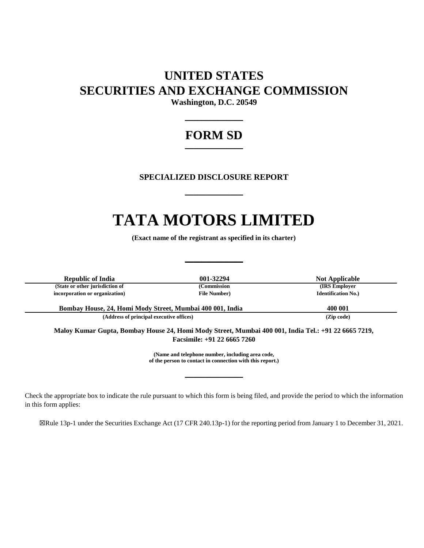## **UNITED STATES SECURITIES AND EXCHANGE COMMISSION**

**Washington, D.C. 20549**  $\frac{1}{2}$ 

## **FORM SD**  $\frac{1}{2}$

### **SPECIALIZED DISCLOSURE REPORT**

 $\frac{1}{2}$ 

# **TATA MOTORS LIMITED**

**(Exact name of the registrant as specified in its charter)**

 $\frac{1}{2}$ 

| <b>Republic of India</b>                                                                                                             | 001-32294            | <b>Not Applicable</b>      |
|--------------------------------------------------------------------------------------------------------------------------------------|----------------------|----------------------------|
| (State or other jurisdiction of                                                                                                      | (Commission          | (IRS Employer)             |
| incorporation or organization)                                                                                                       | <b>File Number</b> ) | <b>Identification No.)</b> |
| Bombay House, 24, Homi Mody Street, Mumbai 400 001, India                                                                            |                      | 400 001                    |
| (Address of principal executive offices)                                                                                             |                      | (Zip code)                 |
| Maloy Kumar Gupta, Bombay House 24, Homi Mody Street, Mumbai 400 001, India Tel.: +91 22 6665 7219,<br>Facsimile: $+91$ 22 6665 7260 |                      |                            |

**(Name and telephone number, including area code, of the person to contact in connection with this report.)**

\_\_\_\_\_\_\_\_\_\_\_\_\_\_

Check the appropriate box to indicate the rule pursuant to which this form is being filed, and provide the period to which the information in this form applies:

☒Rule 13p-1 under the Securities Exchange Act (17 CFR 240.13p-1) for the reporting period from January 1 to December 31, 2021.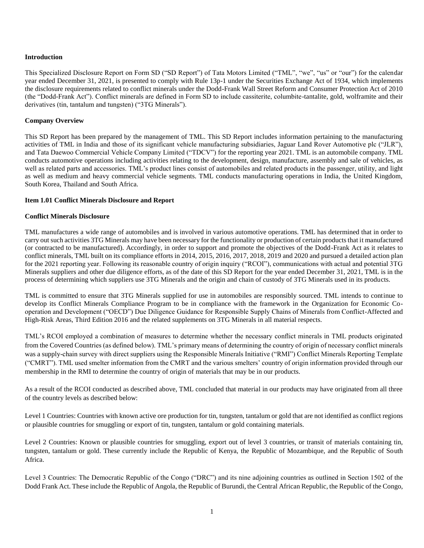#### **Introduction**

This Specialized Disclosure Report on Form SD ("SD Report") of Tata Motors Limited ("TML", "we", "us" or "our") for the calendar year ended December 31, 2021, is presented to comply with Rule 13p-1 under the Securities Exchange Act of 1934, which implements the disclosure requirements related to conflict minerals under the Dodd-Frank Wall Street Reform and Consumer Protection Act of 2010 (the "Dodd-Frank Act"). Conflict minerals are defined in Form SD to include cassiterite, columbite-tantalite, gold, wolframite and their derivatives (tin, tantalum and tungsten) ("3TG Minerals").

#### **Company Overview**

This SD Report has been prepared by the management of TML. This SD Report includes information pertaining to the manufacturing activities of TML in India and those of its significant vehicle manufacturing subsidiaries, Jaguar Land Rover Automotive plc ("JLR"), and Tata Daewoo Commercial Vehicle Company Limited ("TDCV") for the reporting year 2021. TML is an automobile company. TML conducts automotive operations including activities relating to the development, design, manufacture, assembly and sale of vehicles, as well as related parts and accessories. TML's product lines consist of automobiles and related products in the passenger, utility, and light as well as medium and heavy commercial vehicle segments. TML conducts manufacturing operations in India, the United Kingdom, South Korea, Thailand and South Africa.

#### **Item 1.01 Conflict Minerals Disclosure and Report**

#### **Conflict Minerals Disclosure**

TML manufactures a wide range of automobiles and is involved in various automotive operations. TML has determined that in order to carry out such activities 3TG Minerals may have been necessary for the functionality or production of certain products that it manufactured (or contracted to be manufactured). Accordingly, in order to support and promote the objectives of the Dodd-Frank Act as it relates to conflict minerals, TML built on its compliance efforts in 2014, 2015, 2016, 2017, 2018, 2019 and 2020 and pursued a detailed action plan for the 2021 reporting year. Following its reasonable country of origin inquiry ("RCOI"), communications with actual and potential 3TG Minerals suppliers and other due diligence efforts, as of the date of this SD Report for the year ended December 31, 2021, TML is in the process of determining which suppliers use 3TG Minerals and the origin and chain of custody of 3TG Minerals used in its products.

TML is committed to ensure that 3TG Minerals supplied for use in automobiles are responsibly sourced. TML intends to continue to develop its Conflict Minerals Compliance Program to be in compliance with the framework in the Organization for Economic Cooperation and Development ("OECD") Due Diligence Guidance for Responsible Supply Chains of Minerals from Conflict-Affected and High-Risk Areas, Third Edition 2016 and the related supplements on 3TG Minerals in all material respects.

TML's RCOI employed a combination of measures to determine whether the necessary conflict minerals in TML products originated from the Covered Countries (as defined below). TML's primary means of determining the country of origin of necessary conflict minerals was a supply-chain survey with direct suppliers using the Responsible Minerals Initiative ("RMI") Conflict Minerals Reporting Template ("CMRT"). TML used smelter information from the CMRT and the various smelters' country of origin information provided through our membership in the RMI to determine the country of origin of materials that may be in our products.

As a result of the RCOI conducted as described above, TML concluded that material in our products may have originated from all three of the country levels as described below:

Level 1 Countries: Countries with known active ore production for tin, tungsten, tantalum or gold that are not identified as conflict regions or plausible countries for smuggling or export of tin, tungsten, tantalum or gold containing materials.

Level 2 Countries: Known or plausible countries for smuggling, export out of level 3 countries, or transit of materials containing tin, tungsten, tantalum or gold. These currently include the Republic of Kenya, the Republic of Mozambique, and the Republic of South Africa.

Level 3 Countries: The Democratic Republic of the Congo ("DRC") and its nine adjoining countries as outlined in Section 1502 of the Dodd Frank Act. These include the Republic of Angola, the Republic of Burundi, the Central African Republic, the Republic of the Congo,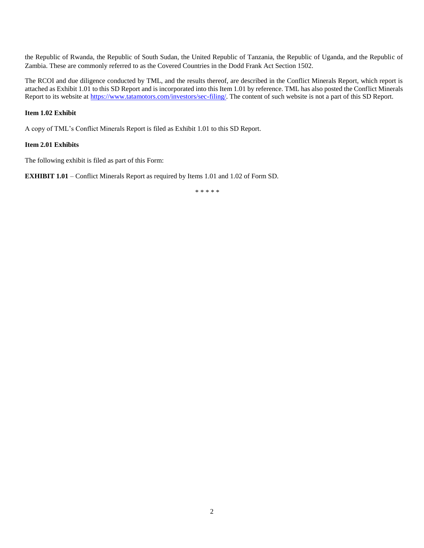the Republic of Rwanda, the Republic of South Sudan, the United Republic of Tanzania, the Republic of Uganda, and the Republic of Zambia. These are commonly referred to as the Covered Countries in the Dodd Frank Act Section 1502.

The RCOI and due diligence conducted by TML, and the results thereof, are described in the Conflict Minerals Report, which report is attached as Exhibit 1.01 to this SD Report and is incorporated into this Item 1.01 by reference. TML has also posted the Conflict Minerals Report to its website at [https://www.tatamotors.com/investors/sec-filing/.](https://www.tatamotors.com/investors/sec-filing/) The content of such website is not a part of this SD Report.

#### **Item 1.02 Exhibit**

A copy of TML's Conflict Minerals Report is filed as Exhibit 1.01 to this SD Report.

#### **Item 2.01 Exhibits**

The following exhibit is filed as part of this Form:

**EXHIBIT 1.01** – Conflict Minerals Report as required by Items 1.01 and 1.02 of Form SD.

\* \* \* \* \*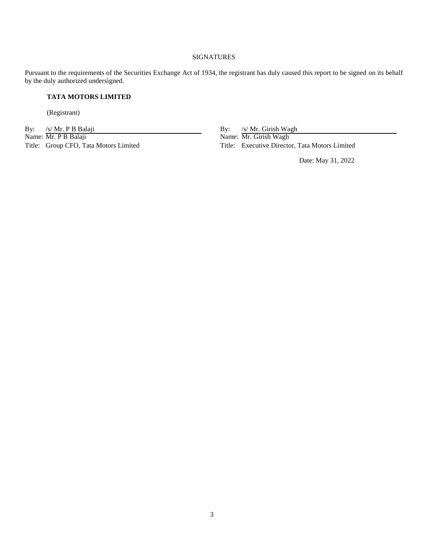#### SIGNATURES

Pursuant to the requirements of the Securities Exchange Act of 1934, the registrant has duly caused this report to be signed on its behalf by the duly authorized undersigned.

#### **TATA MOTORS LIMITED**

(Registrant)

By: /s/ Mr. P B Balaji By: /s/ Mr. Girish Wagh Name: Mr. P B Balaji Name: Mr. Girish Wagh

Title: Group CFO, Tata Motors Limited Title: Executive Director, Tata Motors Limited

Date: May 31, 2022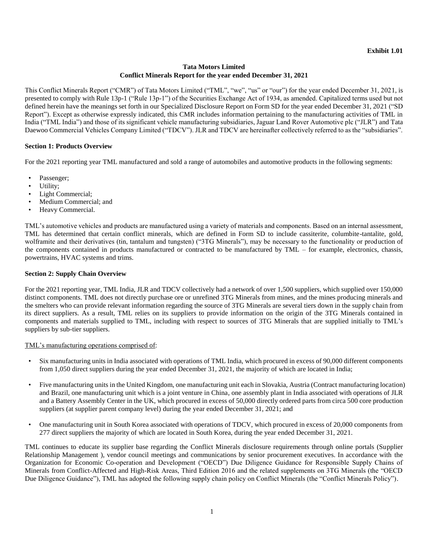#### **Tata Motors Limited Conflict Minerals Report for the year ended December 31, 2021**

This Conflict Minerals Report ("CMR") of Tata Motors Limited ("TML", "we", "us" or "our") for the year ended December 31, 2021, is presented to comply with Rule 13p-1 ("Rule 13p-1") of the Securities Exchange Act of 1934, as amended. Capitalized terms used but not defined herein have the meanings set forth in our Specialized Disclosure Report on Form SD for the year ended December 31, 2021 ("SD Report"). Except as otherwise expressly indicated, this CMR includes information pertaining to the manufacturing activities of TML in India ("TML India") and those of its significant vehicle manufacturing subsidiaries, Jaguar Land Rover Automotive plc ("JLR") and Tata Daewoo Commercial Vehicles Company Limited ("TDCV"). JLR and TDCV are hereinafter collectively referred to as the "subsidiaries".

#### **Section 1: Products Overview**

For the 2021 reporting year TML manufactured and sold a range of automobiles and automotive products in the following segments:

- Passenger;
- Utility;
- Light Commercial;
- Medium Commercial; and
- Heavy Commercial.

TML's automotive vehicles and products are manufactured using a variety of materials and components. Based on an internal assessment, TML has determined that certain conflict minerals, which are defined in Form SD to include cassiterite, columbite-tantalite, gold, wolframite and their derivatives (tin, tantalum and tungsten) ("3TG Minerals"), may be necessary to the functionality or production of the components contained in products manufactured or contracted to be manufactured by TML – for example, electronics, chassis, powertrains, HVAC systems and trims.

#### **Section 2: Supply Chain Overview**

For the 2021 reporting year, TML India, JLR and TDCV collectively had a network of over 1,500 suppliers, which supplied over 150,000 distinct components. TML does not directly purchase ore or unrefined 3TG Minerals from mines, and the mines producing minerals and the smelters who can provide relevant information regarding the source of 3TG Minerals are several tiers down in the supply chain from its direct suppliers. As a result, TML relies on its suppliers to provide information on the origin of the 3TG Minerals contained in components and materials supplied to TML, including with respect to sources of 3TG Minerals that are supplied initially to TML's suppliers by sub-tier suppliers.

#### TML's manufacturing operations comprised of:

- Six manufacturing units in India associated with operations of TML India, which procured in excess of 90,000 different components from 1,050 direct suppliers during the year ended December 31, 2021, the majority of which are located in India;
- Five manufacturing units in the United Kingdom, one manufacturing unit each in Slovakia, Austria (Contract manufacturing location) and Brazil, one manufacturing unit which is a joint venture in China, one assembly plant in India associated with operations of JLR and a Battery Assembly Center in the UK, which procured in excess of 50,000 directly ordered parts from circa 500 core production suppliers (at supplier parent company level) during the year ended December 31, 2021; and
- One manufacturing unit in South Korea associated with operations of TDCV, which procured in excess of 20,000 components from 277 direct suppliers the majority of which are located in South Korea, during the year ended December 31, 2021.

TML continues to educate its supplier base regarding the Conflict Minerals disclosure requirements through online portals (Supplier Relationship Management ), vendor council meetings and communications by senior procurement executives. In accordance with the Organization for Economic Co-operation and Development ("OECD") Due Diligence Guidance for Responsible Supply Chains of Minerals from Conflict-Affected and High-Risk Areas, Third Edition 2016 and the related supplements on 3TG Minerals (the "OECD Due Diligence Guidance"), TML has adopted the following supply chain policy on Conflict Minerals (the "Conflict Minerals Policy").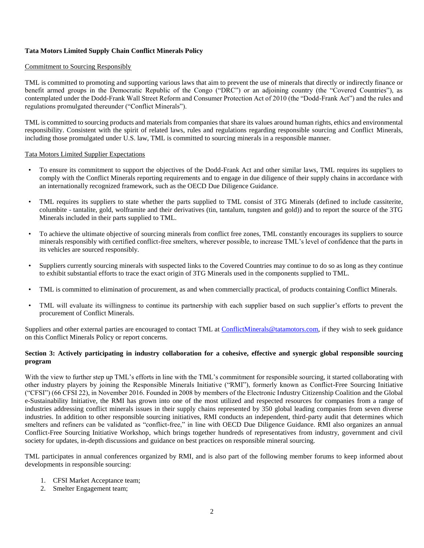#### **Tata Motors Limited Supply Chain Conflict Minerals Policy**

#### Commitment to Sourcing Responsibly

TML is committed to promoting and supporting various laws that aim to prevent the use of minerals that directly or indirectly finance or benefit armed groups in the Democratic Republic of the Congo ("DRC") or an adjoining country (the "Covered Countries"), as contemplated under the Dodd-Frank Wall Street Reform and Consumer Protection Act of 2010 (the "Dodd-Frank Act") and the rules and regulations promulgated thereunder ("Conflict Minerals").

TML is committed to sourcing products and materials from companies that share its values around human rights, ethics and environmental responsibility. Consistent with the spirit of related laws, rules and regulations regarding responsible sourcing and Conflict Minerals, including those promulgated under U.S. law, TML is committed to sourcing minerals in a responsible manner.

#### Tata Motors Limited Supplier Expectations

- To ensure its commitment to support the objectives of the Dodd-Frank Act and other similar laws, TML requires its suppliers to comply with the Conflict Minerals reporting requirements and to engage in due diligence of their supply chains in accordance with an internationally recognized framework, such as the OECD Due Diligence Guidance.
- TML requires its suppliers to state whether the parts supplied to TML consist of 3TG Minerals (defined to include cassiterite, columbite - tantalite, gold, wolframite and their derivatives (tin, tantalum, tungsten and gold)) and to report the source of the 3TG Minerals included in their parts supplied to TML.
- To achieve the ultimate objective of sourcing minerals from conflict free zones, TML constantly encourages its suppliers to source minerals responsibly with certified conflict-free smelters, wherever possible, to increase TML's level of confidence that the parts in its vehicles are sourced responsibly.
- Suppliers currently sourcing minerals with suspected links to the Covered Countries may continue to do so as long as they continue to exhibit substantial efforts to trace the exact origin of 3TG Minerals used in the components supplied to TML.
- TML is committed to elimination of procurement, as and when commercially practical, of products containing Conflict Minerals.
- TML will evaluate its willingness to continue its partnership with each supplier based on such supplier's efforts to prevent the procurement of Conflict Minerals.

Suppliers and other external parties are encouraged to contact TML at [ConflictMinerals@tatamotors.com,](mailto:ConflictMinerals@tatamotors.com) if they wish to seek guidance on this Conflict Minerals Policy or report concerns.

#### **Section 3: Actively participating in industry collaboration for a cohesive, effective and synergic global responsible sourcing program**

With the view to further step up TML's efforts in line with the TML's commitment for responsible sourcing, it started collaborating with other industry players by joining the Responsible Minerals Initiative ("RMI"), formerly known as Conflict-Free Sourcing Initiative ("CFSI") (66 CFSI 22), in November 2016. Founded in 2008 by members of the Electronic Industry Citizenship Coalition and the Global e-Sustainability Initiative, the RMI has grown into one of the most utilized and respected resources for companies from a range of industries addressing conflict minerals issues in their supply chains represented by 350 global leading companies from seven diverse industries. In addition to other responsible sourcing initiatives, RMI conducts an independent, third-party audit that determines which smelters and refiners can be validated as "conflict-free," in line with OECD Due Diligence Guidance. RMI also organizes an annual [Conflict-Free Sourcing Initiative Workshop,](http://www.conflictfreesourcing.org/events/) which brings together hundreds of representatives from industry, government and civil society for updates, in-depth discussions and guidance on best practices on responsible mineral sourcing.

TML participates in annual conferences organized by RMI, and is also part of the following member forums to keep informed about developments in responsible sourcing:

- 1. CFSI Market Acceptance team;
- 2. Smelter Engagement team;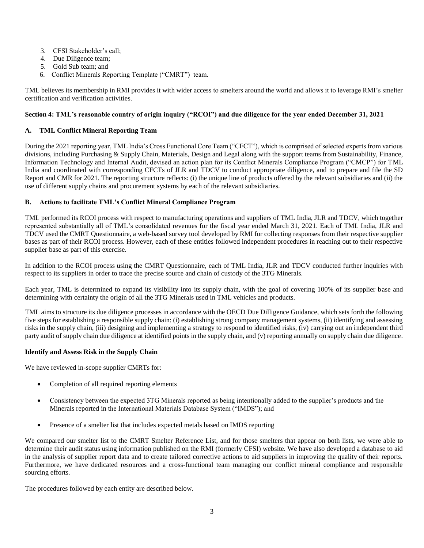- 3. CFSI Stakeholder's call;
- 4. Due Diligence team;
- 5. Gold Sub team; and
- 6. Conflict Minerals Reporting Template ("CMRT") team.

TML believes its membership in RMI provides it with wider access to smelters around the world and allows it to leverage RMI's smelter certification and verification activities.

#### **Section 4: TML's reasonable country of origin inquiry ("RCOI") and due diligence for the year ended December 31, 2021**

#### **A. TML Conflict Mineral Reporting Team**

During the 2021 reporting year, TML India's Cross Functional Core Team ("CFCT"), which is comprised of selected experts from various divisions, including Purchasing & Supply Chain, Materials, Design and Legal along with the support teams from Sustainability, Finance, Information Technology and Internal Audit, devised an action plan for its Conflict Minerals Compliance Program ("CMCP") for TML India and coordinated with corresponding CFCTs of JLR and TDCV to conduct appropriate diligence, and to prepare and file the SD Report and CMR for 2021. The reporting structure reflects: (i) the unique line of products offered by the relevant subsidiaries and (ii) the use of different supply chains and procurement systems by each of the relevant subsidiaries.

#### **B. Actions to facilitate TML's Conflict Mineral Compliance Program**

TML performed its RCOI process with respect to manufacturing operations and suppliers of TML India, JLR and TDCV, which together represented substantially all of TML's consolidated revenues for the fiscal year ended March 31, 2021. Each of TML India, JLR and TDCV used the CMRT Questionnaire, a web-based survey tool developed by RMI for collecting responses from their respective supplier bases as part of their RCOI process. However, each of these entities followed independent procedures in reaching out to their respective supplier base as part of this exercise.

In addition to the RCOI process using the CMRT Questionnaire, each of TML India, JLR and TDCV conducted further inquiries with respect to its suppliers in order to trace the precise source and chain of custody of the 3TG Minerals.

Each year, TML is determined to expand its visibility into its supply chain, with the goal of covering 100% of its supplier base and determining with certainty the origin of all the 3TG Minerals used in TML vehicles and products.

TML aims to structure its due diligence processes in accordance with the OECD Due Dilligence Guidance, which sets forth the following five steps for establishing a responsible supply chain: (i) establishing strong company management systems, (ii) identifying and assessing risks in the supply chain, (iii) designing and implementing a strategy to respond to identified risks, (iv) carrying out an independent third party audit of supply chain due diligence at identified points in the supply chain, and (v) reporting annually on supply chain due diligence.

#### **Identify and Assess Risk in the Supply Chain**

We have reviewed in-scope supplier CMRTs for:

- Completion of all required reporting elements
- Consistency between the expected 3TG Minerals reported as being intentionally added to the supplier's products and the Minerals reported in the International Materials Database System ("IMDS"); and
- Presence of a smelter list that includes expected metals based on IMDS reporting

We compared our smelter list to the CMRT Smelter Reference List, and for those smelters that appear on both lists, we were able to determine their audit status using information published on the RMI (formerly CFSI) website. We have also developed a database to aid in the analysis of supplier report data and to create tailored corrective actions to aid suppliers in improving the quality of their reports. Furthermore, we have dedicated resources and a cross-functional team managing our conflict mineral compliance and responsible sourcing efforts.

The procedures followed by each entity are described below.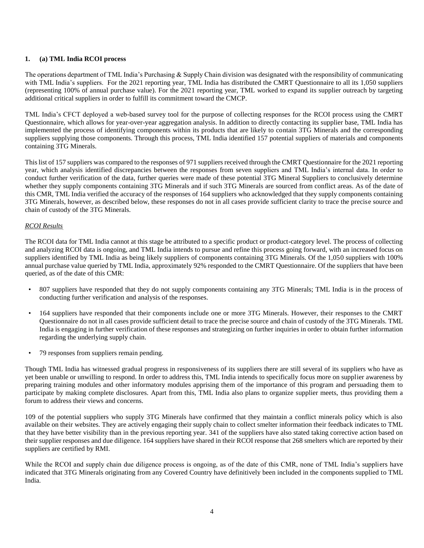#### **1. (a) TML India RCOI process**

The operations department of TML India's Purchasing & Supply Chain division was designated with the responsibility of communicating with TML India's suppliers. For the 2021 reporting year, TML India has distributed the CMRT Questionnaire to all its 1,050 suppliers (representing 100% of annual purchase value). For the 2021 reporting year, TML worked to expand its supplier outreach by targeting additional critical suppliers in order to fulfill its commitment toward the CMCP.

TML India's CFCT deployed a web-based survey tool for the purpose of collecting responses for the RCOI process using the CMRT Questionnaire, which allows for year-over-year aggregation analysis. In addition to directly contacting its supplier base, TML India has implemented the process of identifying components within its products that are likely to contain 3TG Minerals and the corresponding suppliers supplying those components. Through this process, TML India identified 157 potential suppliers of materials and components containing 3TG Minerals.

This list of 157 suppliers was compared to the responses of 971 suppliers received through the CMRT Questionnaire for the 2021 reporting year, which analysis identified discrepancies between the responses from seven suppliers and TML India's internal data. In order to conduct further verification of the data, further queries were made of these potential 3TG Mineral Suppliers to conclusively determine whether they supply components containing 3TG Minerals and if such 3TG Minerals are sourced from conflict areas. As of the date of this CMR, TML India verified the accuracy of the responses of 164 suppliers who acknowledged that they supply components containing 3TG Minerals, however, as described below, these responses do not in all cases provide sufficient clarity to trace the precise source and chain of custody of the 3TG Minerals.

#### *RCOI Results*

The RCOI data for TML India cannot at this stage be attributed to a specific product or product-category level. The process of collecting and analyzing RCOI data is ongoing, and TML India intends to pursue and refine this process going forward, with an increased focus on suppliers identified by TML India as being likely suppliers of components containing 3TG Minerals. Of the 1,050 suppliers with 100% annual purchase value queried by TML India, approximately 92% responded to the CMRT Questionnaire. Of the suppliers that have been queried, as of the date of this CMR:

- 807 suppliers have responded that they do not supply components containing any 3TG Minerals; TML India is in the process of conducting further verification and analysis of the responses.
- 164 suppliers have responded that their components include one or more 3TG Minerals. However, their responses to the CMRT Questionnaire do not in all cases provide sufficient detail to trace the precise source and chain of custody of the 3TG Minerals. TML India is engaging in further verification of these responses and strategizing on further inquiries in order to obtain further information regarding the underlying supply chain.
- 79 responses from suppliers remain pending.

Though TML India has witnessed gradual progress in responsiveness of its suppliers there are still several of its suppliers who have as yet been unable or unwilling to respond. In order to address this, TML India intends to specifically focus more on supplier awareness by preparing training modules and other informatory modules apprising them of the importance of this program and persuading them to participate by making complete disclosures. Apart from this, TML India also plans to organize supplier meets, thus providing them a forum to address their views and concerns.

109 of the potential suppliers who supply 3TG Minerals have confirmed that they maintain a conflict minerals policy which is also available on their websites. They are actively engaging their supply chain to collect smelter information their feedback indicates to TML that they have better visibility than in the previous reporting year. 341 of the suppliers have also stated taking corrective action based on their supplier responses and due diligence. 164 suppliers have shared in their RCOI response that 268 smelters which are reported by their suppliers are certified by RMI.

While the RCOI and supply chain due diligence process is ongoing, as of the date of this CMR, none of TML India's suppliers have indicated that 3TG Minerals originating from any Covered Country have definitively been included in the components supplied to TML India.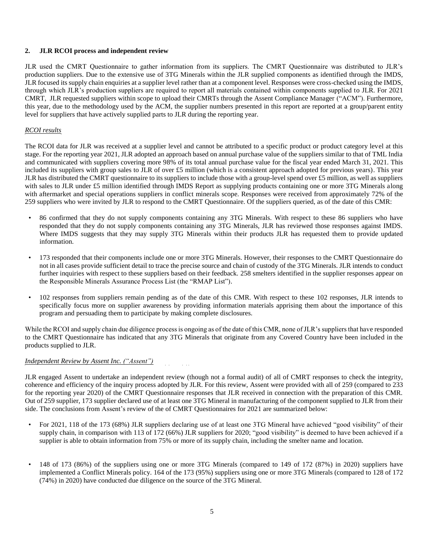#### **2. JLR RCOI process and independent review**

JLR used the CMRT Questionnaire to gather information from its suppliers. The CMRT Questionnaire was distributed to JLR's production suppliers. Due to the extensive use of 3TG Minerals within the JLR supplied components as identified through the IMDS, JLR focused its supply chain enquiries at a supplier level rather than at a component level. Responses were cross-checked using the IMDS, through which JLR's production suppliers are required to report all materials contained within components supplied to JLR. For 2021 CMRT, JLR requested suppliers within scope to upload their CMRTs through the Assent Compliance Manager ("ACM"). Furthermore, this year, due to the methodology used by the ACM, the supplier numbers presented in this report are reported at a group/parent entity level for suppliers that have actively supplied parts to JLR during the reporting year.

#### *RCOI results*

The RCOI data for JLR was received at a supplier level and cannot be attributed to a specific product or product category level at this stage. For the reporting year 2021, JLR adopted an approach based on annual purchase value of the suppliers similar to that of TML India and communicated with suppliers covering more 98% of its total annual purchase value for the fiscal year ended March 31, 2021. This included its suppliers with group sales to JLR of over £5 million (which is a consistent approach adopted for previous years). This year JLR has distributed the CMRT questionnaire to its suppliers to include those with a group-level spend over £5 million, as well as suppliers with sales to JLR under £5 million identified through IMDS Report as supplying products containing one or more 3TG Minerals along with aftermarket and special operations suppliers in conflict minerals scope. Responses were received from approximately 72% of the 259 suppliers who were invited by JLR to respond to the CMRT Questionnaire. Of the suppliers queried, as of the date of this CMR:

- 86 confirmed that they do not supply components containing any 3TG Minerals. With respect to these 86 suppliers who have responded that they do not supply components containing any 3TG Minerals, JLR has reviewed those responses against IMDS. Where IMDS suggests that they may supply 3TG Minerals within their products JLR has requested them to provide updated information.
- 173 responded that their components include one or more 3TG Minerals. However, their responses to the CMRT Questionnaire do not in all cases provide sufficient detail to trace the precise source and chain of custody of the 3TG Minerals. JLR intends to conduct further inquiries with respect to these suppliers based on their feedback. 258 smelters identified in the supplier responses appear on the Responsible Minerals Assurance Process List (the "RMAP List").
- 102 responses from suppliers remain pending as of the date of this CMR. With respect to these 102 responses, JLR intends to specifically focus more on supplier awareness by providing information materials apprising them about the importance of this program and persuading them to participate by making complete disclosures.

While the RCOI and supply chain due diligence process is ongoing as of the date of this CMR, none of JLR's suppliers that have responded to the CMRT Questionnaire has indicated that any 3TG Minerals that originate from any Covered Country have been included in the products supplied to JLR.

#### *Independent Review by Assent Inc. ("Assent")*

JLR engaged Assent to undertake an independent review (though not a formal audit) of all of CMRT responses to check the integrity, coherence and efficiency of the inquiry process adopted by JLR. For this review, Assent were provided with all of 259 (compared to 233 for the reporting year 2020) of the CMRT Questionnaire responses that JLR received in connection with the preparation of this CMR. Out of 259 supplier, 173 supplier declared use of at least one 3TG Mineral in manufacturing of the component supplied to JLR from their side. The conclusions from Assent's review of the of CMRT Questionnaires for 2021 are summarized below:

- For 2021, 118 of the 173 (68%) JLR suppliers declaring use of at least one 3TG Mineral have achieved "good visibility" of their supply chain, in comparison with 113 of 172 (66%) JLR suppliers for 2020; "good visibility" is deemed to have been achieved if a supplier is able to obtain information from 75% or more of its supply chain, including the smelter name and location.
- 148 of 173 (86%) of the suppliers using one or more 3TG Minerals (compared to 149 of 172 (87%) in 2020) suppliers have implemented a Conflict Minerals policy. 164 of the 173 (95%) suppliers using one or more 3TG Minerals (compared to 128 of 172 (74%) in 2020) have conducted due diligence on the source of the 3TG Mineral.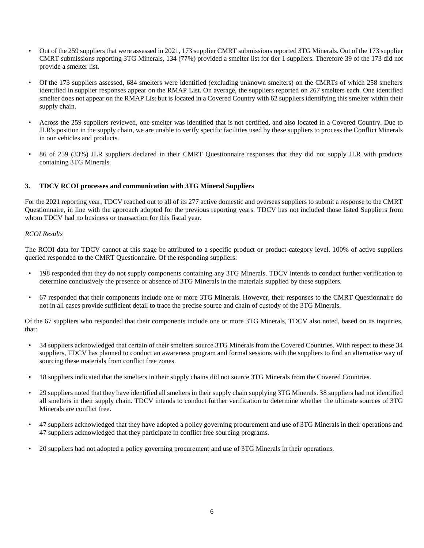- Out of the 259 suppliers that were assessed in 2021, 173 supplier CMRT submissions reported 3TG Minerals. Out of the 173 supplier CMRT submissions reporting 3TG Minerals, 134 (77%) provided a smelter list for tier 1 suppliers. Therefore 39 of the 173 did not provide a smelter list.
- Of the 173 suppliers assessed, 684 smelters were identified (excluding unknown smelters) on the CMRTs of which 258 smelters identified in supplier responses appear on the RMAP List. On average, the suppliers reported on 267 smelters each. One identified smelter does not appear on the RMAP List but is located in a Covered Country with 62 suppliers identifying this smelter within their supply chain.
- Across the 259 suppliers reviewed, one smelter was identified that is not certified, and also located in a Covered Country. Due to JLR's position in the supply chain, we are unable to verify specific facilities used by these suppliers to process the Conflict Minerals in our vehicles and products.
- 86 of 259 (33%) JLR suppliers declared in their CMRT Questionnaire responses that they did not supply JLR with products containing 3TG Minerals.

#### **3. TDCV RCOI processes and communication with 3TG Mineral Suppliers**

For the 2021 reporting year, TDCV reached out to all of its 277 active domestic and overseas suppliers to submit a response to the CMRT Questionnaire, in line with the approach adopted for the previous reporting years. TDCV has not included those listed Suppliers from whom TDCV had no business or transaction for this fiscal year.

#### *RCOI Results*

The RCOI data for TDCV cannot at this stage be attributed to a specific product or product-category level. 100% of active suppliers queried responded to the CMRT Questionnaire. Of the responding suppliers:

- 198 responded that they do not supply components containing any 3TG Minerals. TDCV intends to conduct further verification to determine conclusively the presence or absence of 3TG Minerals in the materials supplied by these suppliers.
- 67 responded that their components include one or more 3TG Minerals. However, their responses to the CMRT Questionnaire do not in all cases provide sufficient detail to trace the precise source and chain of custody of the 3TG Minerals.

Of the 67 suppliers who responded that their components include one or more 3TG Minerals, TDCV also noted, based on its inquiries, that:

- 34 suppliers acknowledged that certain of their smelters source 3TG Minerals from the Covered Countries. With respect to these 34 suppliers, TDCV has planned to conduct an awareness program and formal sessions with the suppliers to find an alternative way of sourcing these materials from conflict free zones.
- 18 suppliers indicated that the smelters in their supply chains did not source 3TG Minerals from the Covered Countries.
- 29 suppliers noted that they have identified all smelters in their supply chain supplying 3TG Minerals. 38 suppliers had not identified all smelters in their supply chain. TDCV intends to conduct further verification to determine whether the ultimate sources of 3TG Minerals are conflict free.
- 47 suppliers acknowledged that they have adopted a policy governing procurement and use of 3TG Minerals in their operations and 47 suppliers acknowledged that they participate in conflict free sourcing programs.
- 20 suppliers had not adopted a policy governing procurement and use of 3TG Minerals in their operations.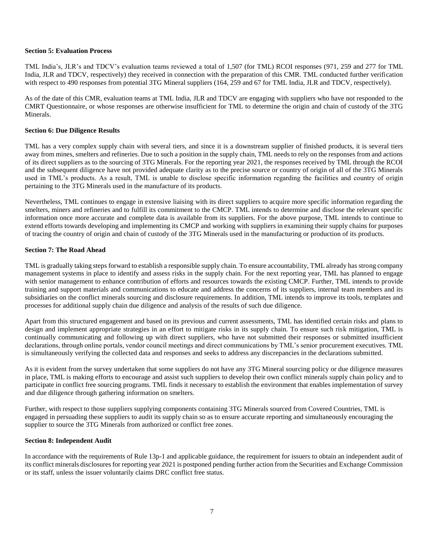#### **Section 5: Evaluation Process**

TML India's, JLR's and TDCV's evaluation teams reviewed a total of 1,507 (for TML) RCOI responses (971, 259 and 277 for TML India, JLR and TDCV, respectively) they received in connection with the preparation of this CMR. TML conducted further verification with respect to 490 responses from potential 3TG Mineral suppliers (164, 259 and 67 for TML India, JLR and TDCV, respectively).

As of the date of this CMR, evaluation teams at TML India, JLR and TDCV are engaging with suppliers who have not responded to the CMRT Questionnaire, or whose responses are otherwise insufficient for TML to determine the origin and chain of custody of the 3TG Minerals.

#### **Section 6: Due Diligence Results**

TML has a very complex supply chain with several tiers, and since it is a downstream supplier of finished products, it is several tiers away from mines, smelters and refineries. Due to such a position in the supply chain, TML needs to rely on the responses from and actions of its direct suppliers as to the sourcing of 3TG Minerals. For the reporting year 2021, the responses received by TML through the RCOI and the subsequent diligence have not provided adequate clarity as to the precise source or country of origin of all of the 3TG Minerals used in TML's products. As a result, TML is unable to disclose specific information regarding the facilities and country of origin pertaining to the 3TG Minerals used in the manufacture of its products.

Nevertheless, TML continues to engage in extensive liaising with its direct suppliers to acquire more specific information regarding the smelters, miners and refineries and to fulfill its commitment to the CMCP. TML intends to determine and disclose the relevant specific information once more accurate and complete data is available from its suppliers. For the above purpose, TML intends to continue to extend efforts towards developing and implementing its CMCP and working with suppliers in examining their supply chains for purposes of tracing the country of origin and chain of custody of the 3TG Minerals used in the manufacturing or production of its products.

#### **Section 7: The Road Ahead**

TML is gradually taking steps forward to establish a responsible supply chain. To ensure accountability, TML already has strong company management systems in place to identify and assess risks in the supply chain. For the next reporting year, TML has planned to engage with senior management to enhance contribution of efforts and resources towards the existing CMCP. Further, TML intends to provide training and support materials and communications to educate and address the concerns of its suppliers, internal team members and its subsidiaries on the conflict minerals sourcing and disclosure requirements. In addition, TML intends to improve its tools, templates and processes for additional supply chain due diligence and analysis of the results of such due diligence.

Apart from this structured engagement and based on its previous and current assessments, TML has identified certain risks and plans to design and implement appropriate strategies in an effort to mitigate risks in its supply chain. To ensure such risk mitigation, TML is continually communicating and following up with direct suppliers, who have not submitted their responses or submitted insufficient declarations, through online portals, vendor council meetings and direct communications by TML's senior procurement executives. TML is simultaneously verifying the collected data and responses and seeks to address any discrepancies in the declarations submitted.

As it is evident from the survey undertaken that some suppliers do not have any 3TG Mineral sourcing policy or due diligence measures in place, TML is making efforts to encourage and assist such suppliers to develop their own conflict minerals supply chain policy and to participate in conflict free sourcing programs. TML finds it necessary to establish the environment that enables implementation of survey and due diligence through gathering information on smelters.

Further, with respect to those suppliers supplying components containing 3TG Minerals sourced from Covered Countries, TML is engaged in persuading these suppliers to audit its supply chain so as to ensure accurate reporting and simultaneously encouraging the supplier to source the 3TG Minerals from authorized or conflict free zones.

#### **Section 8: Independent Audit**

In accordance with the requirements of Rule 13p-1 and applicable guidance, the requirement for issuers to obtain an independent audit of its conflict minerals disclosures for reporting year 2021 is postponed pending further action from the Securities and Exchange Commission or its staff, unless the issuer voluntarily claims DRC conflict free status.